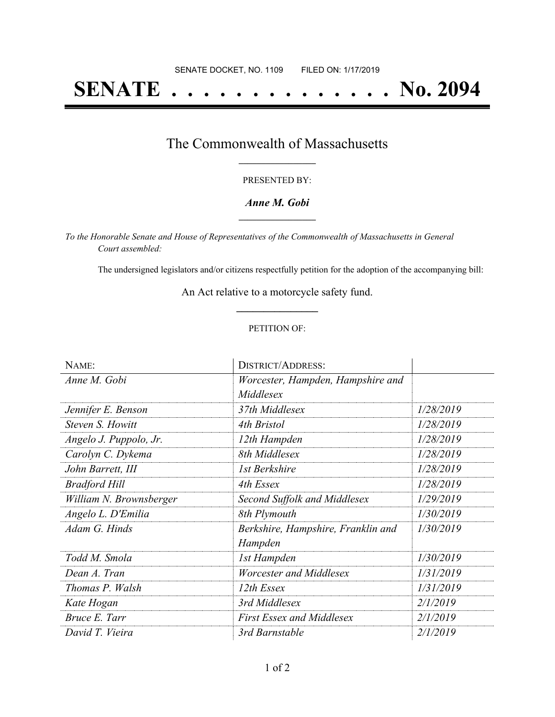# **SENATE . . . . . . . . . . . . . . No. 2094**

### The Commonwealth of Massachusetts **\_\_\_\_\_\_\_\_\_\_\_\_\_\_\_\_\_**

#### PRESENTED BY:

#### *Anne M. Gobi* **\_\_\_\_\_\_\_\_\_\_\_\_\_\_\_\_\_**

*To the Honorable Senate and House of Representatives of the Commonwealth of Massachusetts in General Court assembled:*

The undersigned legislators and/or citizens respectfully petition for the adoption of the accompanying bill:

An Act relative to a motorcycle safety fund. **\_\_\_\_\_\_\_\_\_\_\_\_\_\_\_**

#### PETITION OF:

| NAME:                   | <b>DISTRICT/ADDRESS:</b>           |           |
|-------------------------|------------------------------------|-----------|
| Anne M. Gobi            | Worcester, Hampden, Hampshire and  |           |
|                         | Middlesex                          |           |
| Jennifer E. Benson      | 37th Middlesex                     | 1/28/2019 |
| Steven S. Howitt        | 4th Bristol                        | 1/28/2019 |
| Angelo J. Puppolo, Jr.  | 12th Hampden                       | 1/28/2019 |
| Carolyn C. Dykema       | 8th Middlesex                      | 1/28/2019 |
| John Barrett, III       | 1st Berkshire                      | 1/28/2019 |
| <b>Bradford Hill</b>    | 4th Essex                          | 1/28/2019 |
| William N. Brownsberger | Second Suffolk and Middlesex       | 1/29/2019 |
| Angelo L. D'Emilia      | 8th Plymouth                       | 1/30/2019 |
| Adam G. Hinds           | Berkshire, Hampshire, Franklin and | 1/30/2019 |
|                         | Hampden                            |           |
| Todd M. Smola           | 1st Hampden                        | 1/30/2019 |
| Dean A. Tran            | Worcester and Middlesex            | 1/31/2019 |
| Thomas P. Walsh         | 12th Essex                         | 1/31/2019 |
| Kate Hogan              | 3rd Middlesex                      | 2/1/2019  |
| Bruce E. Tarr           | <b>First Essex and Middlesex</b>   | 2/1/2019  |
| David T. Vieira         | 3rd Barnstable                     | 2/1/2019  |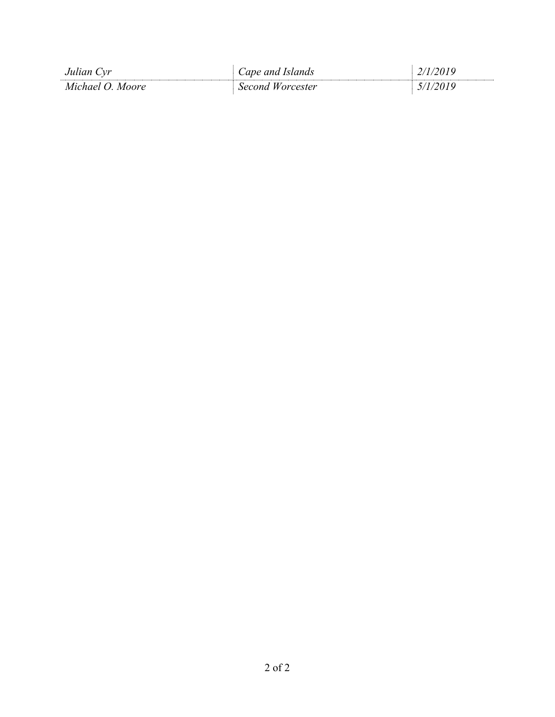| Julian Cyr         | Cape and Islands    |  |
|--------------------|---------------------|--|
| Michael O<br>Moore | Worcester<br>Second |  |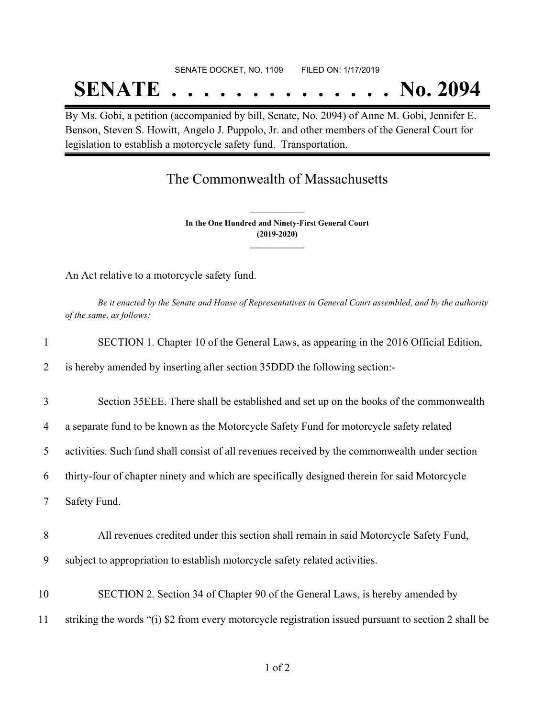## SENATE DOCKET, NO. 1109 FILED ON: 1/17/2019 **SENATE . . . . . . . . . . . . . . No. 2094**

By Ms. Gobi, a petition (accompanied by bill, Senate, No. 2094) of Anne M. Gobi, Jennifer E. Benson, Steven S. Howitt, Angelo J. Puppolo, Jr. and other members of the General Court for legislation to establish a motorcycle safety fund. Transportation.

# The Commonwealth of Massachusetts

**In the One Hundred and Ninety-First General Court (2019-2020) \_\_\_\_\_\_\_\_\_\_\_\_\_\_\_**

**\_\_\_\_\_\_\_\_\_\_\_\_\_\_\_**

An Act relative to a motorcycle safety fund.

Be it enacted by the Senate and House of Representatives in General Court assembled, and by the authority *of the same, as follows:*

|  |  | SECTION 1. Chapter 10 of the General Laws, as appearing in the 2016 Official Edition, |  |
|--|--|---------------------------------------------------------------------------------------|--|
|  |  |                                                                                       |  |

2 is hereby amended by inserting after section 35DDD the following section:-

3 Section 35EEE. There shall be established and set up on the books of the commonwealth

4 a separate fund to be known as the Motorcycle Safety Fund for motorcycle safety related

5 activities. Such fund shall consist of all revenues received by the commonwealth under section

6 thirty-four of chapter ninety and which are specifically designed therein for said Motorcycle

7 Safety Fund.

- 8 All revenues credited under this section shall remain in said Motorcycle Safety Fund, 9 subject to appropriation to establish motorcycle safety related activities.
- 10 SECTION 2. Section 34 of Chapter 90 of the General Laws, is hereby amended by 11 striking the words "(i) \$2 from every motorcycle registration issued pursuant to section 2 shall be